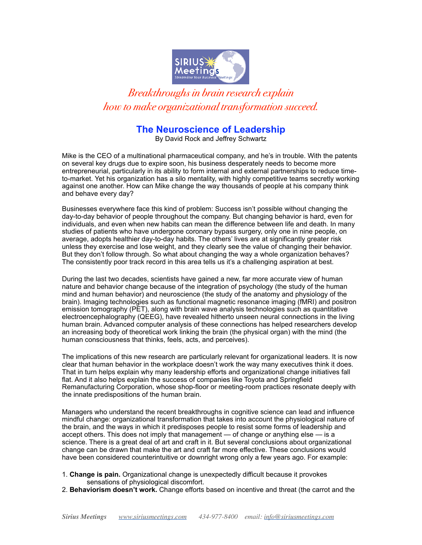

*Breakthroughs in brain research explain how to make organizational transformation succeed.*

# **The Neuroscience of Leadership**

By David Rock and Jeffrey Schwartz

Mike is the CEO of a multinational pharmaceutical company, and he's in trouble. With the patents on several key drugs due to expire soon, his business desperately needs to become more entrepreneurial, particularly in its ability to form internal and external partnerships to reduce timeto-market. Yet his organization has a silo mentality, with highly competitive teams secretly working against one another. How can Mike change the way thousands of people at his company think and behave every day?

Businesses everywhere face this kind of problem: Success isn't possible without changing the day-to-day behavior of people throughout the company. But changing behavior is hard, even for individuals, and even when new habits can mean the difference between life and death. In many studies of patients who have undergone coronary bypass surgery, only one in nine people, on average, adopts healthier day-to-day habits. The others' lives are at significantly greater risk unless they exercise and lose weight, and they clearly see the value of changing their behavior. But they don't follow through. So what about changing the way a whole organization behaves? The consistently poor track record in this area tells us it's a challenging aspiration at best.

During the last two decades, scientists have gained a new, far more accurate view of human nature and behavior change because of the integration of psychology (the study of the human mind and human behavior) and neuroscience (the study of the anatomy and physiology of the brain). Imaging technologies such as functional magnetic resonance imaging (fMRI) and positron emission tomography (PET), along with brain wave analysis technologies such as quantitative electroencephalography (QEEG), have revealed hitherto unseen neural connections in the living human brain. Advanced computer analysis of these connections has helped researchers develop an increasing body of theoretical work linking the brain (the physical organ) with the mind (the human consciousness that thinks, feels, acts, and perceives).

The implications of this new research are particularly relevant for organizational leaders. It is now clear that human behavior in the workplace doesn't work the way many executives think it does. That in turn helps explain why many leadership efforts and organizational change initiatives fall flat. And it also helps explain the success of companies like Toyota and Springfield Remanufacturing Corporation, whose shop-floor or meeting-room practices resonate deeply with the innate predispositions of the human brain.

Managers who understand the recent breakthroughs in cognitive science can lead and influence mindful change: organizational transformation that takes into account the physiological nature of the brain, and the ways in which it predisposes people to resist some forms of leadership and accept others. This does not imply that management — of change or anything else — is a science. There is a great deal of art and craft in it. But several conclusions about organizational change can be drawn that make the art and craft far more effective. These conclusions would have been considered counterintuitive or downright wrong only a few years ago. For example:

- 1. **Change is pain.** Organizational change is unexpectedly difficult because it provokes sensations of physiological discomfort.
- 2. **Behaviorism doesn't work.** Change efforts based on incentive and threat (the carrot and the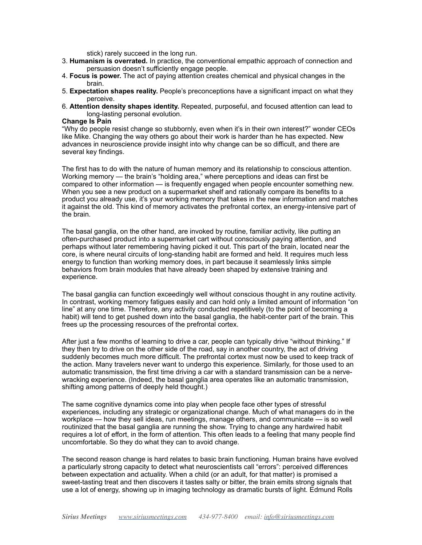stick) rarely succeed in the long run.

- 3. **Humanism is overrated.** In practice, the conventional empathic approach of connection and persuasion doesn't sufficiently engage people.
- 4. **Focus is power.** The act of paying attention creates chemical and physical changes in the brain.
- 5. **Expectation shapes reality.** People's preconceptions have a significant impact on what they perceive.
- 6. **Attention density shapes identity.** Repeated, purposeful, and focused attention can lead to long-lasting personal evolution.

# **Change Is Pain**

"Why do people resist change so stubbornly, even when it's in their own interest?" wonder CEOs like Mike. Changing the way others go about their work is harder than he has expected. New advances in neuroscience provide insight into why change can be so difficult, and there are several key findings.

The first has to do with the nature of human memory and its relationship to conscious attention. Working memory — the brain's "holding area," where perceptions and ideas can first be compared to other information — is frequently engaged when people encounter something new. When you see a new product on a supermarket shelf and rationally compare its benefits to a product you already use, it's your working memory that takes in the new information and matches it against the old. This kind of memory activates the prefrontal cortex, an energy-intensive part of the brain.

The basal ganglia, on the other hand, are invoked by routine, familiar activity, like putting an often-purchased product into a supermarket cart without consciously paying attention, and perhaps without later remembering having picked it out. This part of the brain, located near the core, is where neural circuits of long-standing habit are formed and held. It requires much less energy to function than working memory does, in part because it seamlessly links simple behaviors from brain modules that have already been shaped by extensive training and experience.

The basal ganglia can function exceedingly well without conscious thought in any routine activity. In contrast, working memory fatigues easily and can hold only a limited amount of information "on line" at any one time. Therefore, any activity conducted repetitively (to the point of becoming a habit) will tend to get pushed down into the basal ganglia, the habit-center part of the brain. This frees up the processing resources of the prefrontal cortex.

After just a few months of learning to drive a car, people can typically drive "without thinking." If they then try to drive on the other side of the road, say in another country, the act of driving suddenly becomes much more difficult. The prefrontal cortex must now be used to keep track of the action. Many travelers never want to undergo this experience. Similarly, for those used to an automatic transmission, the first time driving a car with a standard transmission can be a nervewracking experience. (Indeed, the basal ganglia area operates like an automatic transmission, shifting among patterns of deeply held thought.)

The same cognitive dynamics come into play when people face other types of stressful experiences, including any strategic or organizational change. Much of what managers do in the workplace — how they sell ideas, run meetings, manage others, and communicate — is so well routinized that the basal ganglia are running the show. Trying to change any hardwired habit requires a lot of effort, in the form of attention. This often leads to a feeling that many people find uncomfortable. So they do what they can to avoid change.

The second reason change is hard relates to basic brain functioning. Human brains have evolved a particularly strong capacity to detect what neuroscientists call "errors": perceived differences between expectation and actuality. When a child (or an adult, for that matter) is promised a sweet-tasting treat and then discovers it tastes salty or bitter, the brain emits strong signals that use a lot of energy, showing up in imaging technology as dramatic bursts of light. Edmund Rolls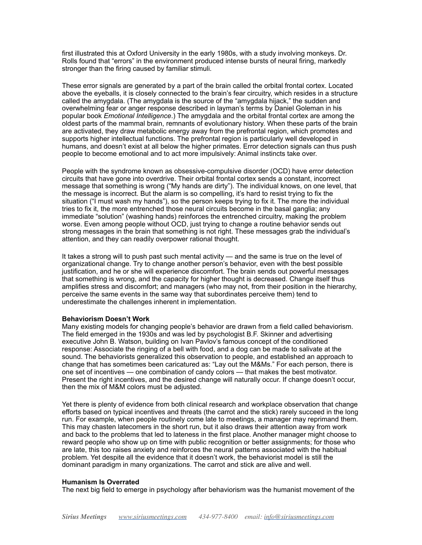first illustrated this at Oxford University in the early 1980s, with a study involving monkeys. Dr. Rolls found that "errors" in the environment produced intense bursts of neural firing, markedly stronger than the firing caused by familiar stimuli.

These error signals are generated by a part of the brain called the orbital frontal cortex. Located above the eyeballs, it is closely connected to the brain's fear circuitry, which resides in a structure called the amygdala. (The amygdala is the source of the "amygdala hijack," the sudden and overwhelming fear or anger response described in layman's terms by Daniel Goleman in his popular book *Emotional Intelligence*.) The amygdala and the orbital frontal cortex are among the oldest parts of the mammal brain, remnants of evolutionary history. When these parts of the brain are activated, they draw metabolic energy away from the prefrontal region, which promotes and supports higher intellectual functions. The prefrontal region is particularly well developed in humans, and doesn't exist at all below the higher primates. Error detection signals can thus push people to become emotional and to act more impulsively: Animal instincts take over.

People with the syndrome known as obsessive-compulsive disorder (OCD) have error detection circuits that have gone into overdrive. Their orbital frontal cortex sends a constant, incorrect message that something is wrong ("My hands are dirty"). The individual knows, on one level, that the message is incorrect. But the alarm is so compelling, it's hard to resist trying to fix the situation ("I must wash my hands"), so the person keeps trying to fix it. The more the individual tries to fix it, the more entrenched those neural circuits become in the basal ganglia; any immediate "solution" (washing hands) reinforces the entrenched circuitry, making the problem worse. Even among people without OCD, just trying to change a routine behavior sends out strong messages in the brain that something is not right. These messages grab the individual's attention, and they can readily overpower rational thought.

It takes a strong will to push past such mental activity — and the same is true on the level of organizational change. Try to change another person's behavior, even with the best possible justification, and he or she will experience discomfort. The brain sends out powerful messages that something is wrong, and the capacity for higher thought is decreased. Change itself thus amplifies stress and discomfort; and managers (who may not, from their position in the hierarchy, perceive the same events in the same way that subordinates perceive them) tend to underestimate the challenges inherent in implementation.

## **Behaviorism Doesn't Work**

Many existing models for changing people's behavior are drawn from a field called behaviorism. The field emerged in the 1930s and was led by psychologist B.F. Skinner and advertising executive John B. Watson, building on Ivan Pavlov's famous concept of the conditioned response: Associate the ringing of a bell with food, and a dog can be made to salivate at the sound. The behaviorists generalized this observation to people, and established an approach to change that has sometimes been caricatured as: "Lay out the M&Ms." For each person, there is one set of incentives — one combination of candy colors — that makes the best motivator. Present the right incentives, and the desired change will naturally occur. If change doesn't occur, then the mix of M&M colors must be adjusted.

Yet there is plenty of evidence from both clinical research and workplace observation that change efforts based on typical incentives and threats (the carrot and the stick) rarely succeed in the long run. For example, when people routinely come late to meetings, a manager may reprimand them. This may chasten latecomers in the short run, but it also draws their attention away from work and back to the problems that led to lateness in the first place. Another manager might choose to reward people who show up on time with public recognition or better assignments; for those who are late, this too raises anxiety and reinforces the neural patterns associated with the habitual problem. Yet despite all the evidence that it doesn't work, the behaviorist model is still the dominant paradigm in many organizations. The carrot and stick are alive and well.

## **Humanism Is Overrated**

The next big field to emerge in psychology after behaviorism was the humanist movement of the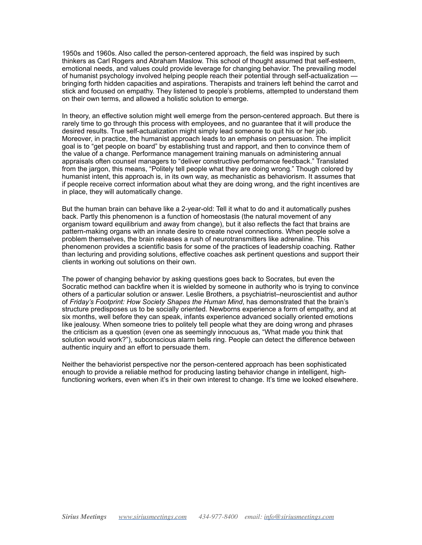1950s and 1960s. Also called the person-centered approach, the field was inspired by such thinkers as Carl Rogers and Abraham Maslow. This school of thought assumed that self-esteem, emotional needs, and values could provide leverage for changing behavior. The prevailing model of humanist psychology involved helping people reach their potential through self-actualization bringing forth hidden capacities and aspirations. Therapists and trainers left behind the carrot and stick and focused on empathy. They listened to people's problems, attempted to understand them on their own terms, and allowed a holistic solution to emerge.

In theory, an effective solution might well emerge from the person-centered approach. But there is rarely time to go through this process with employees, and no guarantee that it will produce the desired results. True self-actualization might simply lead someone to quit his or her job. Moreover, in practice, the humanist approach leads to an emphasis on persuasion. The implicit goal is to "get people on board" by establishing trust and rapport, and then to convince them of the value of a change. Performance management training manuals on administering annual appraisals often counsel managers to "deliver constructive performance feedback." Translated from the jargon, this means, "Politely tell people what they are doing wrong." Though colored by humanist intent, this approach is, in its own way, as mechanistic as behaviorism. It assumes that if people receive correct information about what they are doing wrong, and the right incentives are in place, they will automatically change.

But the human brain can behave like a 2-year-old: Tell it what to do and it automatically pushes back. Partly this phenomenon is a function of homeostasis (the natural movement of any organism toward equilibrium and away from change), but it also reflects the fact that brains are pattern-making organs with an innate desire to create novel connections. When people solve a problem themselves, the brain releases a rush of neurotransmitters like adrenaline. This phenomenon provides a scientific basis for some of the practices of leadership coaching. Rather than lecturing and providing solutions, effective coaches ask pertinent questions and support their clients in working out solutions on their own.

The power of changing behavior by asking questions goes back to Socrates, but even the Socratic method can backfire when it is wielded by someone in authority who is trying to convince others of a particular solution or answer. Leslie Brothers, a psychiatrist–neuroscientist and author of *Friday's Footprint: How Society Shapes the Human Mind*, has demonstrated that the brain's structure predisposes us to be socially oriented. Newborns experience a form of empathy, and at six months, well before they can speak, infants experience advanced socially oriented emotions like jealousy. When someone tries to politely tell people what they are doing wrong and phrases the criticism as a question (even one as seemingly innocuous as, "What made you think that solution would work?"), subconscious alarm bells ring. People can detect the difference between authentic inquiry and an effort to persuade them.

Neither the behaviorist perspective nor the person-centered approach has been sophisticated enough to provide a reliable method for producing lasting behavior change in intelligent, highfunctioning workers, even when it's in their own interest to change. It's time we looked elsewhere.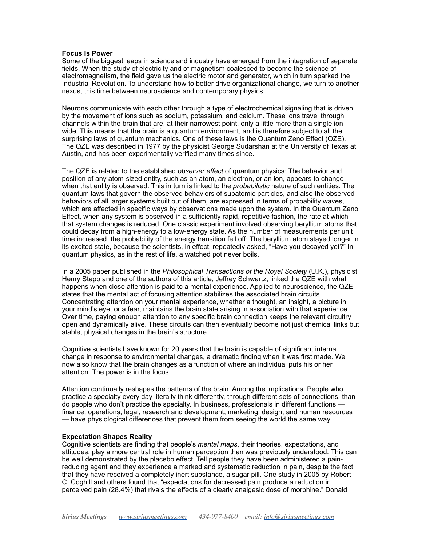# **Focus Is Power**

Some of the biggest leaps in science and industry have emerged from the integration of separate fields. When the study of electricity and of magnetism coalesced to become the science of electromagnetism, the field gave us the electric motor and generator, which in turn sparked the Industrial Revolution. To understand how to better drive organizational change, we turn to another nexus, this time between neuroscience and contemporary physics.

Neurons communicate with each other through a type of electrochemical signaling that is driven by the movement of ions such as sodium, potassium, and calcium. These ions travel through channels within the brain that are, at their narrowest point, only a little more than a single ion wide. This means that the brain is a quantum environment, and is therefore subject to all the surprising laws of quantum mechanics. One of these laws is the Quantum Zeno Effect (QZE). The QZE was described in 1977 by the physicist George Sudarshan at the University of Texas at Austin, and has been experimentally verified many times since.

The QZE is related to the established *observer effect* of quantum physics: The behavior and position of any atom-sized entity, such as an atom, an electron, or an ion, appears to change when that entity is observed. This in turn is linked to the *probabilistic* nature of such entities. The quantum laws that govern the observed behaviors of subatomic particles, and also the observed behaviors of all larger systems built out of them, are expressed in terms of probability waves, which are affected in specific ways by observations made upon the system. In the Quantum Zeno Effect, when any system is observed in a sufficiently rapid, repetitive fashion, the rate at which that system changes is reduced. One classic experiment involved observing beryllium atoms that could decay from a high-energy to a low-energy state. As the number of measurements per unit time increased, the probability of the energy transition fell off: The beryllium atom stayed longer in its excited state, because the scientists, in effect, repeatedly asked, "Have you decayed yet?" In quantum physics, as in the rest of life, a watched pot never boils.

In a 2005 paper published in the *Philosophical Transactions of the Royal Society* (U.K.), physicist Henry Stapp and one of the authors of this article, Jeffrey Schwartz, linked the QZE with what happens when close attention is paid to a mental experience. Applied to neuroscience, the QZE states that the mental act of focusing attention stabilizes the associated brain circuits. Concentrating attention on your mental experience, whether a thought, an insight, a picture in your mind's eye, or a fear, maintains the brain state arising in association with that experience. Over time, paying enough attention to any specific brain connection keeps the relevant circuitry open and dynamically alive. These circuits can then eventually become not just chemical links but stable, physical changes in the brain's structure.

Cognitive scientists have known for 20 years that the brain is capable of significant internal change in response to environmental changes, a dramatic finding when it was first made. We now also know that the brain changes as a function of where an individual puts his or her attention. The power is in the focus.

Attention continually reshapes the patterns of the brain. Among the implications: People who practice a specialty every day literally think differently, through different sets of connections, than do people who don't practice the specialty. In business, professionals in different functions finance, operations, legal, research and development, marketing, design, and human resources — have physiological differences that prevent them from seeing the world the same way.

## **Expectation Shapes Reality**

Cognitive scientists are finding that people's *mental maps*, their theories, expectations, and attitudes, play a more central role in human perception than was previously understood. This can be well demonstrated by the placebo effect. Tell people they have been administered a painreducing agent and they experience a marked and systematic reduction in pain, despite the fact that they have received a completely inert substance, a sugar pill. One study in 2005 by Robert C. Coghill and others found that "expectations for decreased pain produce a reduction in perceived pain (28.4%) that rivals the effects of a clearly analgesic dose of morphine." Donald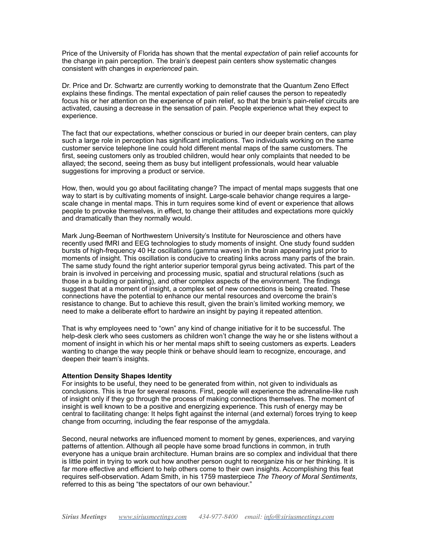Price of the University of Florida has shown that the mental *expectation* of pain relief accounts for the change in pain perception. The brain's deepest pain centers show systematic changes consistent with changes in *experienced* pain.

Dr. Price and Dr. Schwartz are currently working to demonstrate that the Quantum Zeno Effect explains these findings. The mental expectation of pain relief causes the person to repeatedly focus his or her attention on the experience of pain relief, so that the brain's pain-relief circuits are activated, causing a decrease in the sensation of pain. People experience what they expect to experience.

The fact that our expectations, whether conscious or buried in our deeper brain centers, can play such a large role in perception has significant implications. Two individuals working on the same customer service telephone line could hold different mental maps of the same customers. The first, seeing customers only as troubled children, would hear only complaints that needed to be allayed; the second, seeing them as busy but intelligent professionals, would hear valuable suggestions for improving a product or service.

How, then, would you go about facilitating change? The impact of mental maps suggests that one way to start is by cultivating moments of insight. Large-scale behavior change requires a largescale change in mental maps. This in turn requires some kind of event or experience that allows people to provoke themselves, in effect, to change their attitudes and expectations more quickly and dramatically than they normally would.

Mark Jung-Beeman of Northwestern University's Institute for Neuroscience and others have recently used fMRI and EEG technologies to study moments of insight. One study found sudden bursts of high-frequency 40 Hz oscillations (gamma waves) in the brain appearing just prior to moments of insight. This oscillation is conducive to creating links across many parts of the brain. The same study found the right anterior superior temporal gyrus being activated. This part of the brain is involved in perceiving and processing music, spatial and structural relations (such as those in a building or painting), and other complex aspects of the environment. The findings suggest that at a moment of insight, a complex set of new connections is being created. These connections have the potential to enhance our mental resources and overcome the brain's resistance to change. But to achieve this result, given the brain's limited working memory, we need to make a deliberate effort to hardwire an insight by paying it repeated attention.

That is why employees need to "own" any kind of change initiative for it to be successful. The help-desk clerk who sees customers as children won't change the way he or she listens without a moment of insight in which his or her mental maps shift to seeing customers as experts. Leaders wanting to change the way people think or behave should learn to recognize, encourage, and deepen their team's insights.

## **Attention Density Shapes Identity**

For insights to be useful, they need to be generated from within, not given to individuals as conclusions. This is true for several reasons. First, people will experience the adrenaline-like rush of insight only if they go through the process of making connections themselves. The moment of insight is well known to be a positive and energizing experience. This rush of energy may be central to facilitating change: It helps fight against the internal (and external) forces trying to keep change from occurring, including the fear response of the amygdala.

Second, neural networks are influenced moment to moment by genes, experiences, and varying patterns of attention. Although all people have some broad functions in common, in truth everyone has a unique brain architecture. Human brains are so complex and individual that there is little point in trying to work out how another person ought to reorganize his or her thinking. It is far more effective and efficient to help others come to their own insights. Accomplishing this feat requires self-observation. Adam Smith, in his 1759 masterpiece *The Theory of Moral Sentiments*, referred to this as being "the spectators of our own behaviour."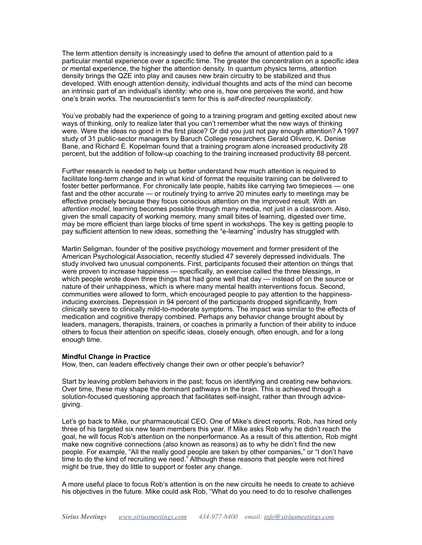The term attention density is increasingly used to define the amount of attention paid to a particular mental experience over a specific time. The greater the concentration on a specific idea or mental experience, the higher the attention density. In quantum physics terms, attention density brings the QZE into play and causes new brain circuitry to be stabilized and thus developed. With enough attention density, individual thoughts and acts of the mind can become an intrinsic part of an individual's identity: who one is, how one perceives the world, and how one's brain works. The neuroscientist's term for this is *self-directed neuroplasticity*.

You've probably had the experience of going to a training program and getting excited about new ways of thinking, only to realize later that you can't remember what the new ways of thinking were. Were the ideas no good in the first place? Or did you just not pay enough attention? A 1997 study of 31 public-sector managers by Baruch College researchers Gerald Olivero, K. Denise Bane, and Richard E. Kopelman found that a training program alone increased productivity 28 percent, but the addition of follow-up coaching to the training increased productivity 88 percent.

Further research is needed to help us better understand how much attention is required to facilitate long-term change and in what kind of format the requisite training can be delivered to foster better performance. For chronically late people, habits like carrying two timepieces — one fast and the other accurate — or routinely trying to arrive 20 minutes early to meetings may be effective precisely because they focus conscious attention on the improved result. With an *attention model*, learning becomes possible through many media, not just in a classroom. Also, given the small capacity of working memory, many small bites of learning, digested over time, may be more efficient than large blocks of time spent in workshops. The key is getting people to pay sufficient attention to new ideas, something the "e-learning" industry has struggled with.

Martin Seligman, founder of the positive psychology movement and former president of the American Psychological Association, recently studied 47 severely depressed individuals. The study involved two unusual components. First, participants focused their attention on things that were proven to increase happiness — specifically, an exercise called the three blessings, in which people wrote down three things that had gone well that day — instead of on the source or nature of their unhappiness, which is where many mental health interventions focus. Second, communities were allowed to form, which encouraged people to pay attention to the happinessinducing exercises. Depression in 94 percent of the participants dropped significantly, from clinically severe to clinically mild-to-moderate symptoms. The impact was similar to the effects of medication and cognitive therapy combined. Perhaps any behavior change brought about by leaders, managers, therapists, trainers, or coaches is primarily a function of their ability to induce others to focus their attention on specific ideas, closely enough, often enough, and for a long enough time.

# **Mindful Change in Practice**

How, then, can leaders effectively change their own or other people's behavior?

Start by leaving problem behaviors in the past; focus on identifying and creating new behaviors. Over time, these may shape the dominant pathways in the brain. This is achieved through a solution-focused questioning approach that facilitates self-insight, rather than through advicegiving.

Let's go back to Mike, our pharmaceutical CEO. One of Mike's direct reports, Rob, has hired only three of his targeted six new team members this year. If Mike asks Rob why he didn't reach the goal, he will focus Rob's attention on the nonperformance. As a result of this attention, Rob might make new cognitive connections (also known as reasons) as to why he didn't find the new people. For example, "All the really good people are taken by other companies," or "I don't have time to do the kind of recruiting we need." Although these reasons that people were not hired might be true, they do little to support or foster any change.

A more useful place to focus Rob's attention is on the new circuits he needs to create to achieve his objectives in the future. Mike could ask Rob, "What do you need to do to resolve challenges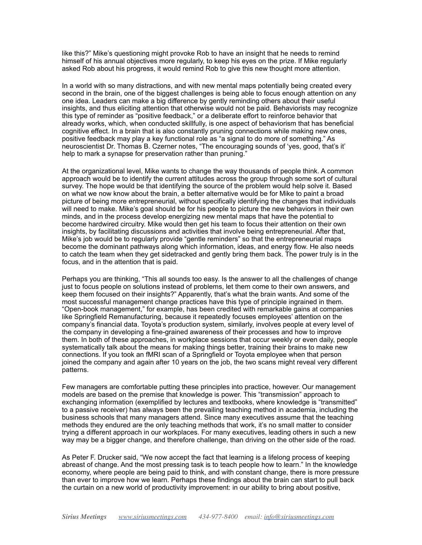like this?" Mike's questioning might provoke Rob to have an insight that he needs to remind himself of his annual objectives more regularly, to keep his eyes on the prize. If Mike regularly asked Rob about his progress, it would remind Rob to give this new thought more attention.

In a world with so many distractions, and with new mental maps potentially being created every second in the brain, one of the biggest challenges is being able to focus enough attention on any one idea. Leaders can make a big difference by gently reminding others about their useful insights, and thus eliciting attention that otherwise would not be paid. Behaviorists may recognize this type of reminder as "positive feedback," or a deliberate effort to reinforce behavior that already works, which, when conducted skillfully, is one aspect of behaviorism that has beneficial cognitive effect. In a brain that is also constantly pruning connections while making new ones, positive feedback may play a key functional role as "a signal to do more of something." As neuroscientist Dr. Thomas B. Czerner notes, "The encouraging sounds of 'yes, good, that's it' help to mark a synapse for preservation rather than pruning."

At the organizational level, Mike wants to change the way thousands of people think. A common approach would be to identify the current attitudes across the group through some sort of cultural survey. The hope would be that identifying the source of the problem would help solve it. Based on what we now know about the brain, a better alternative would be for Mike to paint a broad picture of being more entrepreneurial, without specifically identifying the changes that individuals will need to make. Mike's goal should be for his people to picture the new behaviors in their own minds, and in the process develop energizing new mental maps that have the potential to become hardwired circuitry. Mike would then get his team to focus their attention on their own insights, by facilitating discussions and activities that involve being entrepreneurial. After that, Mike's job would be to regularly provide "gentle reminders" so that the entrepreneurial maps become the dominant pathways along which information, ideas, and energy flow. He also needs to catch the team when they get sidetracked and gently bring them back. The power truly is in the focus, and in the attention that is paid.

Perhaps you are thinking, "This all sounds too easy. Is the answer to all the challenges of change just to focus people on solutions instead of problems, let them come to their own answers, and keep them focused on their insights?" Apparently, that's what the brain wants. And some of the most successful management change practices have this type of principle ingrained in them. "Open-book management," for example, has been credited with remarkable gains at companies like Springfield Remanufacturing, because it repeatedly focuses employees' attention on the company's financial data. Toyota's production system, similarly, involves people at every level of the company in developing a fine-grained awareness of their processes and how to improve them. In both of these approaches, in workplace sessions that occur weekly or even daily, people systematically talk about the means for making things better, training their brains to make new connections. If you took an fMRI scan of a Springfield or Toyota employee when that person joined the company and again after 10 years on the job, the two scans might reveal very different patterns.

Few managers are comfortable putting these principles into practice, however. Our management models are based on the premise that knowledge is power. This "transmission" approach to exchanging information (exemplified by lectures and textbooks, where knowledge is "transmitted" to a passive receiver) has always been the prevailing teaching method in academia, including the business schools that many managers attend. Since many executives assume that the teaching methods they endured are the only teaching methods that work, it's no small matter to consider trying a different approach in our workplaces. For many executives, leading others in such a new way may be a bigger change, and therefore challenge, than driving on the other side of the road.

As Peter F. Drucker said, "We now accept the fact that learning is a lifelong process of keeping abreast of change. And the most pressing task is to teach people how to learn." In the knowledge economy, where people are being paid to think, and with constant change, there is more pressure than ever to improve how we learn. Perhaps these findings about the brain can start to pull back the curtain on a new world of productivity improvement: in our ability to bring about positive,